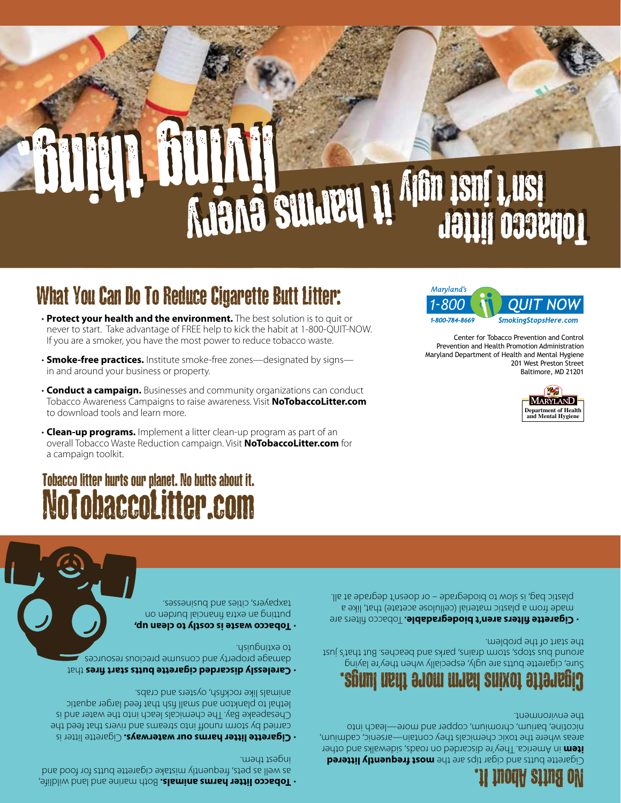**Both marrio and an index paramer and land mildlife, the marking wildlife,**  $\cdot$ as well as pets, frequently mistake cigarette butts for food and ingest them.

**Cigarette litter harms our waterways.** Cigarette litter is carried by storm runoff into streams and rivers that feed the Chesapeake Bay. The chemicals leach into the water and is lethal to plankton and small fish that feed larger aquatic animals like rockfish, oysters and crabs.

tarelessly discarded cigarette butts start fires that damage property and consume precious resources to extinguish.

**Tobacco waste is costly to clean up,** • putting an extra financial burden on taxpayers, cities and businesses.

## No Butts About It.

**beritite butts and cigar tips are the most frequently littered**  in America. They're discarded on roads, sidewalks and other **item** areas where the toxic chemicals they contain—arsenic, cadmium, nicotine, barium, chromium, copper and more—leach into the environment.

# Cigarette toxins harm more than lungs.

Sure, cigarette butts are ugly, especially when they're laying around bus stops, storm drains, parks and beaches. But that's just the start of the problem.

**Cigarette filters aren't biodegradable.** Tobacco filters are made from a plastic material (cellulose acetate) that, like a plastic bag, is slow to biodegrade – or doesn't degrade at all.

# NoTobaccoLitter.com Tobacco litter hurts our planet. No butts about it.

living thing. living thing.

- • **Clean-up programs.** Implement a litter clean-up program as part of an overall Tobacco Waste Reduction campaign. Visit **NoTobaccoLitter.com** for a campaign toolkit.
- **Conduct a campaign.** Businesses and community organizations can conduct Tobacco Awareness Campaigns to raise awareness. Visit **NoTobaccoLitter.com** to download tools and learn more.
- 
- **Smoke-free practices.** Institute smoke-free zones—designated by signs in and around your business or property.
- 
- never to start. Take advantage of FREE help to kick the habit at 1-800-QUIT-NOW. If you are a smoker, you have the most power to reduce tobacco waste.

What You Can Do To Reduce Cigarette Butt Litter:

- 
- 



**The sullier of the little state of the Sullier College of the Sullie Sullie State of the Sullie State of the S** 

isn't just ugly it harmond is the second of the second litter



**isn't just 1,000 km** 

201 West Preston Street Baltimore, MD 21201

> **Department of Health and Mental Hygien**